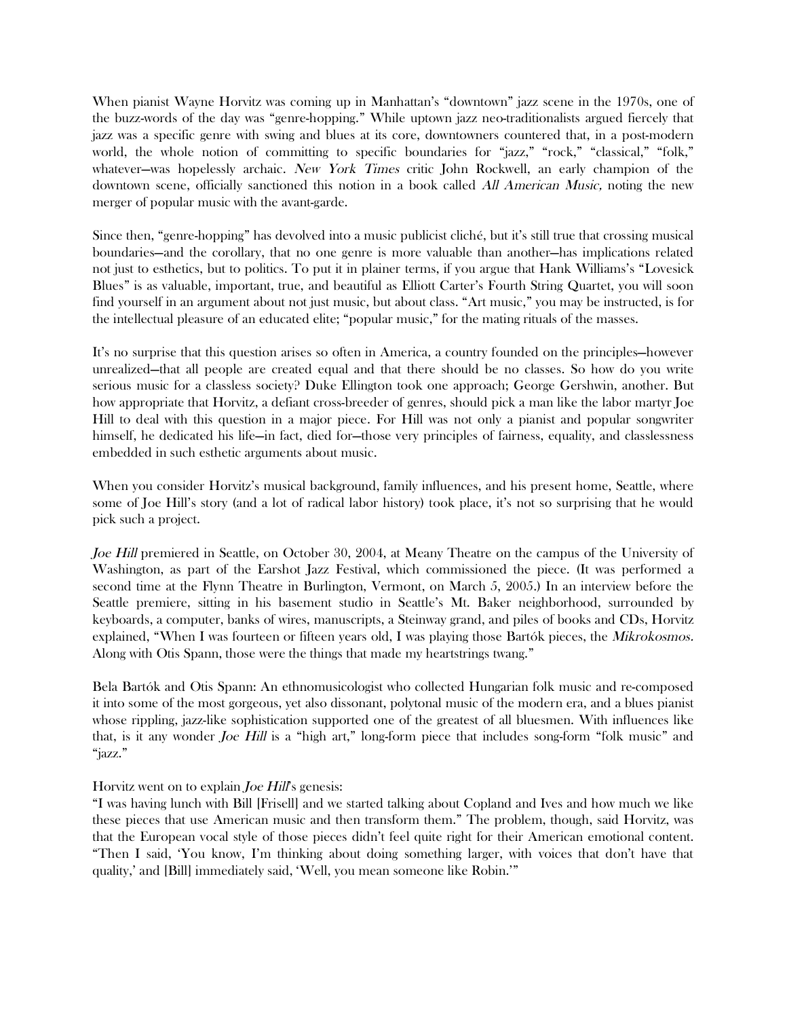When pianist Wayne Horvitz was coming up in Manhattan's "downtown" jazz scene in the 1970s, one of the buzz-words of the day was "genre-hopping." While uptown jazz neo-traditionalists argued fiercely that jazz was a specific genre with swing and blues at its core, downtowners countered that, in a post-modern world, the whole notion of committing to specific boundaries for "jazz," "rock," "classical," "folk," whatever—was hopelessly archaic. New York Times critic John Rockwell, an early champion of the downtown scene, officially sanctioned this notion in a book called All American Music, noting the new merger of popular music with the avant-garde.

Since then, "genre-hopping" has devolved into a music publicist cliché, but it's still true that crossing musical boundaries—and the corollary, that no one genre is more valuable than another—has implications related not just to esthetics, but to politics. To put it in plainer terms, if you argue that Hank Williams's "Lovesick Blues" is as valuable, important, true, and beautiful as Elliott Carter's Fourth String Quartet, you will soon find yourself in an argument about not just music, but about class. "Art music," you may be instructed, is for the intellectual pleasure of an educated elite; "popular music," for the mating rituals of the masses.

It's no surprise that this question arises so often in America, a country founded on the principles—however unrealized—that all people are created equal and that there should be no classes. So how do you write serious music for a classless society? Duke Ellington took one approach; George Gershwin, another. But how appropriate that Horvitz, a defiant cross-breeder of genres, should pick a man like the labor martyr Joe Hill to deal with this question in a major piece. For Hill was not only a pianist and popular songwriter himself, he dedicated his life—in fact, died for—those very principles of fairness, equality, and classlessness embedded in such esthetic arguments about music.

When you consider Horvitz's musical background, family influences, and his present home, Seattle, where some of Joe Hill's story (and a lot of radical labor history) took place, it's not so surprising that he would pick such a project.

Joe Hill premiered in Seattle, on October 30, 2004, at Meany Theatre on the campus of the University of Washington, as part of the Earshot Jazz Festival, which commissioned the piece. (It was performed a second time at the Flynn Theatre in Burlington, Vermont, on March 5, 2005.) In an interview before the Seattle premiere, sitting in his basement studio in Seattle's Mt. Baker neighborhood, surrounded by keyboards, a computer, banks of wires, manuscripts, a Steinway grand, and piles of books and CDs, Horvitz explained, "When I was fourteen or fifteen years old, I was playing those Bartók pieces, the Mikrokosmos. Along with Otis Spann, those were the things that made my heartstrings twang."

Bela Bartók and Otis Spann: An ethnomusicologist who collected Hungarian folk music and re-composed it into some of the most gorgeous, yet also dissonant, polytonal music of the modern era, and a blues pianist whose rippling, jazz-like sophistication supported one of the greatest of all bluesmen. With influences like that, is it any wonder Joe Hill is a "high art," long-form piece that includes song-form "folk music" and "jazz."

## Horvitz went on to explain Joe Hill's genesis:

"I was having lunch with Bill [Frisell] and we started talking about Copland and Ives and how much we like these pieces that use American music and then transform them." The problem, though, said Horvitz, was that the European vocal style of those pieces didn't feel quite right for their American emotional content. "Then I said, 'You know, I'm thinking about doing something larger, with voices that don't have that quality,' and [Bill] immediately said, 'Well, you mean someone like Robin.'"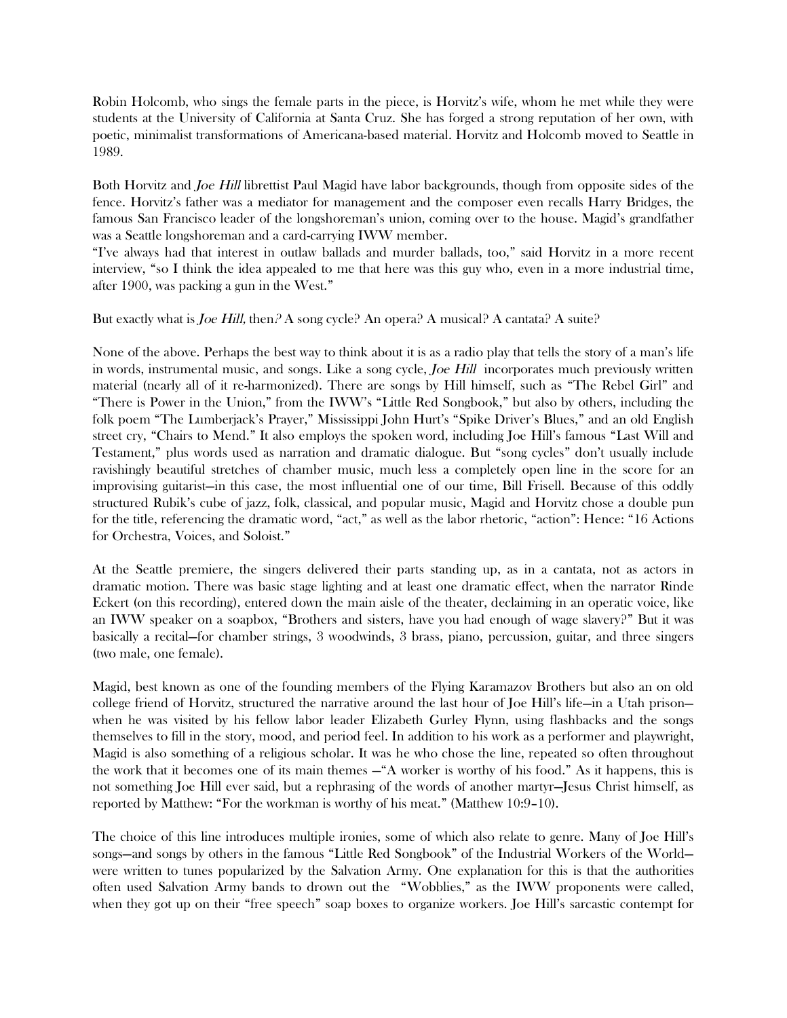Robin Holcomb, who sings the female parts in the piece, is Horvitz's wife, whom he met while they were students at the University of California at Santa Cruz. She has forged a strong reputation of her own, with poetic, minimalist transformations of Americana-based material. Horvitz and Holcomb moved to Seattle in 1989.

Both Horvitz and Joe Hill librettist Paul Magid have labor backgrounds, though from opposite sides of the fence. Horvitz's father was a mediator for management and the composer even recalls Harry Bridges, the famous San Francisco leader of the longshoreman's union, coming over to the house. Magid's grandfather was a Seattle longshoreman and a card-carrying IWW member.

"I've always had that interest in outlaw ballads and murder ballads, too," said Horvitz in a more recent interview, "so I think the idea appealed to me that here was this guy who, even in a more industrial time, after 1900, was packing a gun in the West."

But exactly what is *Joe Hill*, then  $\beta$  A song cycle? An opera? A musical? A cantata? A suite?

None of the above. Perhaps the best way to think about it is as a radio play that tells the story of a man's life in words, instrumental music, and songs. Like a song cycle, Joe Hill incorporates much previously written material (nearly all of it re-harmonized). There are songs by Hill himself, such as "The Rebel Girl" and "There is Power in the Union," from the IWW's "Little Red Songbook," but also by others, including the folk poem "The Lumberjack's Prayer," Mississippi John Hurt's "Spike Driver's Blues," and an old English street cry, "Chairs to Mend." It also employs the spoken word, including Joe Hill's famous "Last Will and Testament," plus words used as narration and dramatic dialogue. But "song cycles" don't usually include ravishingly beautiful stretches of chamber music, much less a completely open line in the score for an improvising guitarist—in this case, the most influential one of our time, Bill Frisell. Because of this oddly structured Rubik's cube of jazz, folk, classical, and popular music, Magid and Horvitz chose a double pun for the title, referencing the dramatic word, "act," as well as the labor rhetoric, "action": Hence: "16 Actions for Orchestra, Voices, and Soloist."

At the Seattle premiere, the singers delivered their parts standing up, as in a cantata, not as actors in dramatic motion. There was basic stage lighting and at least one dramatic effect, when the narrator Rinde Eckert (on this recording), entered down the main aisle of the theater, declaiming in an operatic voice, like an IWW speaker on a soapbox, "Brothers and sisters, have you had enough of wage slavery?" But it was basically a recital—for chamber strings, 3 woodwinds, 3 brass, piano, percussion, guitar, and three singers (two male, one female).

Magid, best known as one of the founding members of the Flying Karamazov Brothers but also an on old college friend of Horvitz, structured the narrative around the last hour of Joe Hill's life—in a Utah prison when he was visited by his fellow labor leader Elizabeth Gurley Flynn, using flashbacks and the songs themselves to fill in the story, mood, and period feel. In addition to his work as a performer and playwright, Magid is also something of a religious scholar. It was he who chose the line, repeated so often throughout the work that it becomes one of its main themes —"A worker is worthy of his food." As it happens, this is not something Joe Hill ever said, but a rephrasing of the words of another martyr—Jesus Christ himself, as reported by Matthew: "For the workman is worthy of his meat." (Matthew 10:9–10).

The choice of this line introduces multiple ironies, some of which also relate to genre. Many of Joe Hill's songs—and songs by others in the famous "Little Red Songbook" of the Industrial Workers of the World were written to tunes popularized by the Salvation Army. One explanation for this is that the authorities often used Salvation Army bands to drown out the "Wobblies," as the IWW proponents were called, when they got up on their "free speech" soap boxes to organize workers. Joe Hill's sarcastic contempt for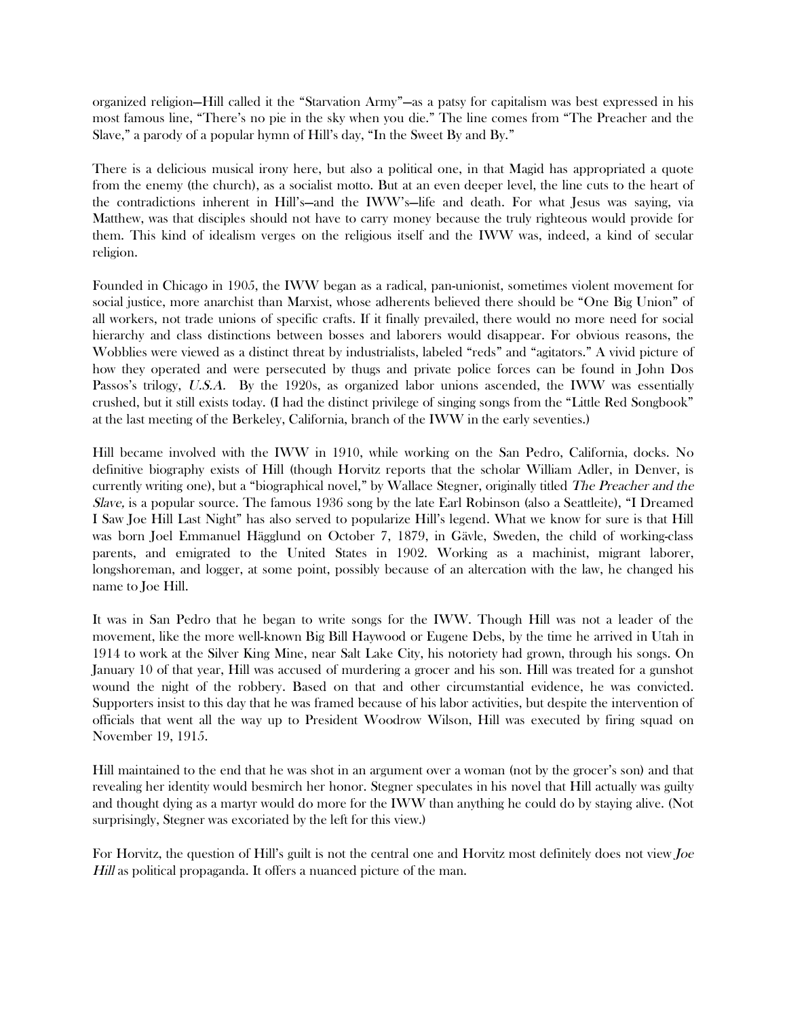organized religion—Hill called it the "Starvation Army"—as a patsy for capitalism was best expressed in his most famous line, "There's no pie in the sky when you die." The line comes from "The Preacher and the Slave," a parody of a popular hymn of Hill's day, "In the Sweet By and By."

There is a delicious musical irony here, but also a political one, in that Magid has appropriated a quote from the enemy (the church), as a socialist motto. But at an even deeper level, the line cuts to the heart of the contradictions inherent in Hill's—and the IWW's—life and death. For what Jesus was saying, via Matthew, was that disciples should not have to carry money because the truly righteous would provide for them. This kind of idealism verges on the religious itself and the IWW was, indeed, a kind of secular religion.

Founded in Chicago in 1905, the IWW began as a radical, pan-unionist, sometimes violent movement for social justice, more anarchist than Marxist, whose adherents believed there should be "One Big Union" of all workers, not trade unions of specific crafts. If it finally prevailed, there would no more need for social hierarchy and class distinctions between bosses and laborers would disappear. For obvious reasons, the Wobblies were viewed as a distinct threat by industrialists, labeled "reds" and "agitators." A vivid picture of how they operated and were persecuted by thugs and private police forces can be found in John Dos Passos's trilogy, U.S.A. By the 1920s, as organized labor unions ascended, the IWW was essentially crushed, but it still exists today. (I had the distinct privilege of singing songs from the "Little Red Songbook" at the last meeting of the Berkeley, California, branch of the IWW in the early seventies.)

Hill became involved with the IWW in 1910, while working on the San Pedro, California, docks. No definitive biography exists of Hill (though Horvitz reports that the scholar William Adler, in Denver, is currently writing one), but a "biographical novel," by Wallace Stegner, originally titled The Preacher and the Slave, is a popular source. The famous 1936 song by the late Earl Robinson (also a Seattleite), "I Dreamed I Saw Joe Hill Last Night" has also served to popularize Hill's legend. What we know for sure is that Hill was born Joel Emmanuel Hägglund on October 7, 1879, in Gävle, Sweden, the child of working-class parents, and emigrated to the United States in 1902. Working as a machinist, migrant laborer, longshoreman, and logger, at some point, possibly because of an altercation with the law, he changed his name to Joe Hill.

It was in San Pedro that he began to write songs for the IWW. Though Hill was not a leader of the movement, like the more well-known Big Bill Haywood or Eugene Debs, by the time he arrived in Utah in 1914 to work at the Silver King Mine, near Salt Lake City, his notoriety had grown, through his songs. On January 10 of that year, Hill was accused of murdering a grocer and his son. Hill was treated for a gunshot wound the night of the robbery. Based on that and other circumstantial evidence, he was convicted. Supporters insist to this day that he was framed because of his labor activities, but despite the intervention of officials that went all the way up to President Woodrow Wilson, Hill was executed by firing squad on November 19, 1915.

Hill maintained to the end that he was shot in an argument over a woman (not by the grocer's son) and that revealing her identity would besmirch her honor. Stegner speculates in his novel that Hill actually was guilty and thought dying as a martyr would do more for the IWW than anything he could do by staying alive. (Not surprisingly, Stegner was excoriated by the left for this view.)

For Horvitz, the question of Hill's guilt is not the central one and Horvitz most definitely does not view Joe Hill as political propaganda. It offers a nuanced picture of the man.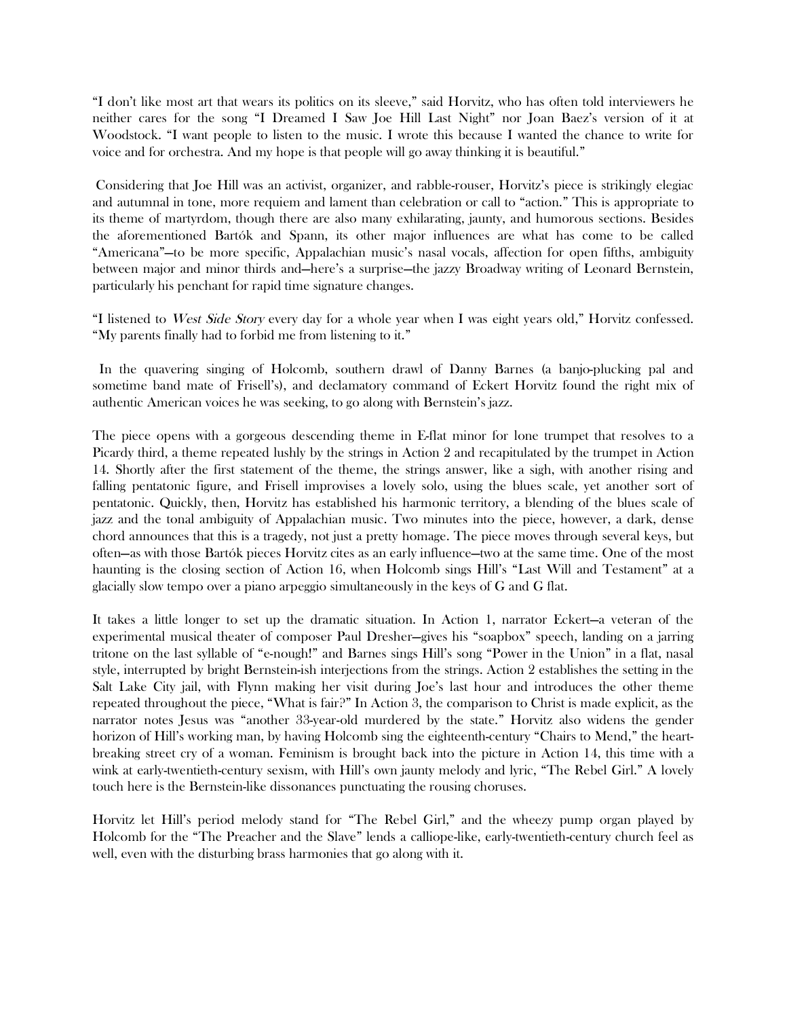"I don't like most art that wears its politics on its sleeve," said Horvitz, who has often told interviewers he neither cares for the song "I Dreamed I Saw Joe Hill Last Night" nor Joan Baez's version of it at Woodstock. "I want people to listen to the music. I wrote this because I wanted the chance to write for voice and for orchestra. And my hope is that people will go away thinking it is beautiful."

 Considering that Joe Hill was an activist, organizer, and rabble-rouser, Horvitz's piece is strikingly elegiac and autumnal in tone, more requiem and lament than celebration or call to "action." This is appropriate to its theme of martyrdom, though there are also many exhilarating, jaunty, and humorous sections. Besides the aforementioned Bartók and Spann, its other major influences are what has come to be called "Americana"—to be more specific, Appalachian music's nasal vocals, affection for open fifths, ambiguity between major and minor thirds and—here's a surprise—the jazzy Broadway writing of Leonard Bernstein, particularly his penchant for rapid time signature changes.

"I listened to West Side Story every day for a whole year when I was eight years old," Horvitz confessed. "My parents finally had to forbid me from listening to it."

 In the quavering singing of Holcomb, southern drawl of Danny Barnes (a banjo-plucking pal and sometime band mate of Frisell's), and declamatory command of Eckert Horvitz found the right mix of authentic American voices he was seeking, to go along with Bernstein's jazz.

The piece opens with a gorgeous descending theme in E-flat minor for lone trumpet that resolves to a Picardy third, a theme repeated lushly by the strings in Action 2 and recapitulated by the trumpet in Action 14. Shortly after the first statement of the theme, the strings answer, like a sigh, with another rising and falling pentatonic figure, and Frisell improvises a lovely solo, using the blues scale, yet another sort of pentatonic. Quickly, then, Horvitz has established his harmonic territory, a blending of the blues scale of jazz and the tonal ambiguity of Appalachian music. Two minutes into the piece, however, a dark, dense chord announces that this is a tragedy, not just a pretty homage. The piece moves through several keys, but often—as with those Bartók pieces Horvitz cites as an early influence—two at the same time. One of the most haunting is the closing section of Action 16, when Holcomb sings Hill's "Last Will and Testament" at a glacially slow tempo over a piano arpeggio simultaneously in the keys of G and G flat.

It takes a little longer to set up the dramatic situation. In Action 1, narrator Eckert—a veteran of the experimental musical theater of composer Paul Dresher—gives his "soapbox" speech, landing on a jarring tritone on the last syllable of "e-nough!" and Barnes sings Hill's song "Power in the Union" in a flat, nasal style, interrupted by bright Bernstein-ish interjections from the strings. Action 2 establishes the setting in the Salt Lake City jail, with Flynn making her visit during Joe's last hour and introduces the other theme repeated throughout the piece, "What is fair?" In Action 3, the comparison to Christ is made explicit, as the narrator notes Jesus was "another 33-year-old murdered by the state." Horvitz also widens the gender horizon of Hill's working man, by having Holcomb sing the eighteenth-century "Chairs to Mend," the heartbreaking street cry of a woman. Feminism is brought back into the picture in Action 14, this time with a wink at early-twentieth-century sexism, with Hill's own jaunty melody and lyric, "The Rebel Girl." A lovely touch here is the Bernstein-like dissonances punctuating the rousing choruses.

Horvitz let Hill's period melody stand for "The Rebel Girl," and the wheezy pump organ played by Holcomb for the "The Preacher and the Slave" lends a calliope-like, early-twentieth-century church feel as well, even with the disturbing brass harmonies that go along with it.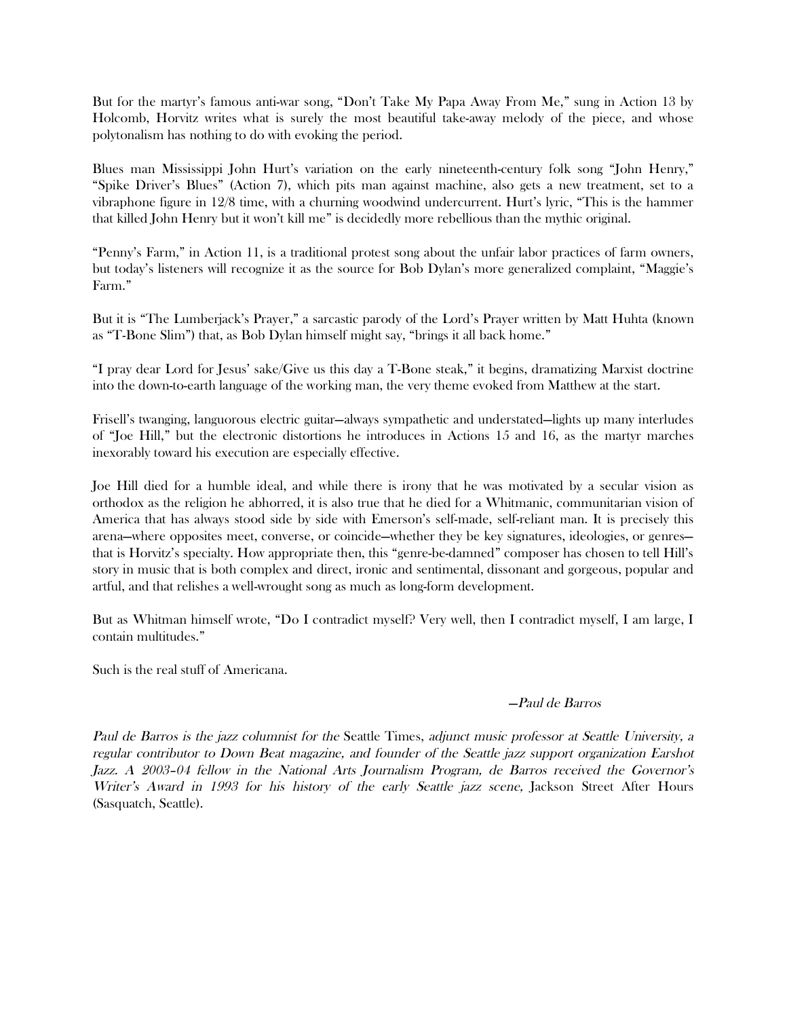But for the martyr's famous anti-war song, "Don't Take My Papa Away From Me," sung in Action 13 by Holcomb, Horvitz writes what is surely the most beautiful take-away melody of the piece, and whose polytonalism has nothing to do with evoking the period.

Blues man Mississippi John Hurt's variation on the early nineteenth-century folk song "John Henry," "Spike Driver's Blues" (Action 7), which pits man against machine, also gets a new treatment, set to a vibraphone figure in 12/8 time, with a churning woodwind undercurrent. Hurt's lyric, "This is the hammer that killed John Henry but it won't kill me" is decidedly more rebellious than the mythic original.

"Penny's Farm," in Action 11, is a traditional protest song about the unfair labor practices of farm owners, but today's listeners will recognize it as the source for Bob Dylan's more generalized complaint, "Maggie's Farm."

But it is "The Lumberjack's Prayer," a sarcastic parody of the Lord's Prayer written by Matt Huhta (known as "T-Bone Slim") that, as Bob Dylan himself might say, "brings it all back home."

"I pray dear Lord for Jesus' sake/Give us this day a T-Bone steak," it begins, dramatizing Marxist doctrine into the down-to-earth language of the working man, the very theme evoked from Matthew at the start.

Frisell's twanging, languorous electric guitar—always sympathetic and understated—lights up many interludes of "Joe Hill," but the electronic distortions he introduces in Actions 15 and 16, as the martyr marches inexorably toward his execution are especially effective.

Joe Hill died for a humble ideal, and while there is irony that he was motivated by a secular vision as orthodox as the religion he abhorred, it is also true that he died for a Whitmanic, communitarian vision of America that has always stood side by side with Emerson's self-made, self-reliant man. It is precisely this arena—where opposites meet, converse, or coincide—whether they be key signatures, ideologies, or genres that is Horvitz's specialty. How appropriate then, this "genre-be-damned" composer has chosen to tell Hill's story in music that is both complex and direct, ironic and sentimental, dissonant and gorgeous, popular and artful, and that relishes a well-wrought song as much as long-form development.

But as Whitman himself wrote, "Do I contradict myself? Very well, then I contradict myself, I am large, I contain multitudes."

Such is the real stuff of Americana.

## —Paul de Barros

Paul de Barros is the jazz columnist for the Seattle Times, adjunct music professor at Seattle University, a regular contributor to Down Beat magazine, and founder of the Seattle jazz support organization Earshot Jazz. A 2003–04 fellow in the National Arts Journalism Program, de Barros received the Governor's Writer's Award in 1993 for his history of the early Seattle jazz scene, Jackson Street After Hours (Sasquatch, Seattle).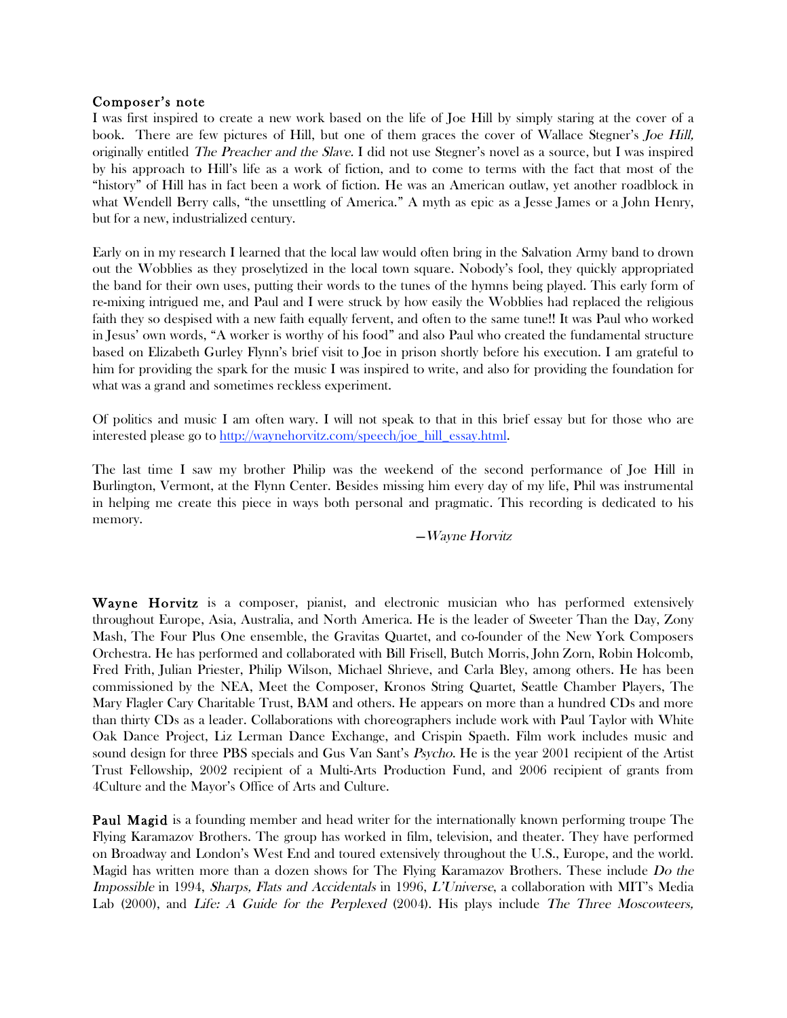#### Composer's note

I was first inspired to create a new work based on the life of Joe Hill by simply staring at the cover of a book. There are few pictures of Hill, but one of them graces the cover of Wallace Stegner's Joe Hill, originally entitled The Preacher and the Slave. I did not use Stegner's novel as a source, but I was inspired by his approach to Hill's life as a work of fiction, and to come to terms with the fact that most of the "history" of Hill has in fact been a work of fiction. He was an American outlaw, yet another roadblock in what Wendell Berry calls, "the unsettling of America." A myth as epic as a Jesse James or a John Henry, but for a new, industrialized century.

Early on in my research I learned that the local law would often bring in the Salvation Army band to drown out the Wobblies as they proselytized in the local town square. Nobody's fool, they quickly appropriated the band for their own uses, putting their words to the tunes of the hymns being played. This early form of re-mixing intrigued me, and Paul and I were struck by how easily the Wobblies had replaced the religious faith they so despised with a new faith equally fervent, and often to the same tune!! It was Paul who worked in Jesus' own words, "A worker is worthy of his food" and also Paul who created the fundamental structure based on Elizabeth Gurley Flynn's brief visit to Joe in prison shortly before his execution. I am grateful to him for providing the spark for the music I was inspired to write, and also for providing the foundation for what was a grand and sometimes reckless experiment.

Of politics and music I am often wary. I will not speak to that in this brief essay but for those who are interested please go to http://waynehorvitz.com/speech/joe\_hill\_essay.html.

The last time I saw my brother Philip was the weekend of the second performance of Joe Hill in Burlington, Vermont, at the Flynn Center. Besides missing him every day of my life, Phil was instrumental in helping me create this piece in ways both personal and pragmatic. This recording is dedicated to his memory.

#### —Wayne Horvitz

Wayne Horvitz is a composer, pianist, and electronic musician who has performed extensively throughout Europe, Asia, Australia, and North America. He is the leader of Sweeter Than the Day, Zony Mash, The Four Plus One ensemble, the Gravitas Quartet, and co-founder of the New York Composers Orchestra. He has performed and collaborated with Bill Frisell, Butch Morris, John Zorn, Robin Holcomb, Fred Frith, Julian Priester, Philip Wilson, Michael Shrieve, and Carla Bley, among others. He has been commissioned by the NEA, Meet the Composer, Kronos String Quartet, Seattle Chamber Players, The Mary Flagler Cary Charitable Trust, BAM and others. He appears on more than a hundred CDs and more than thirty CDs as a leader. Collaborations with choreographers include work with Paul Taylor with White Oak Dance Project, Liz Lerman Dance Exchange, and Crispin Spaeth. Film work includes music and sound design for three PBS specials and Gus Van Sant's *Psycho*. He is the year 2001 recipient of the Artist Trust Fellowship, 2002 recipient of a Multi-Arts Production Fund, and 2006 recipient of grants from 4Culture and the Mayor's Office of Arts and Culture.

Paul Magid is a founding member and head writer for the internationally known performing troupe The Flying Karamazov Brothers. The group has worked in film, television, and theater. They have performed on Broadway and London's West End and toured extensively throughout the U.S., Europe, and the world. Magid has written more than a dozen shows for The Flying Karamazov Brothers. These include Do the Impossible in 1994, Sharps, Flats and Accidentals in 1996, L'Universe, a collaboration with MIT's Media Lab (2000), and *Life: A Guide for the Perplexed* (2004). His plays include *The Three Moscowteers*,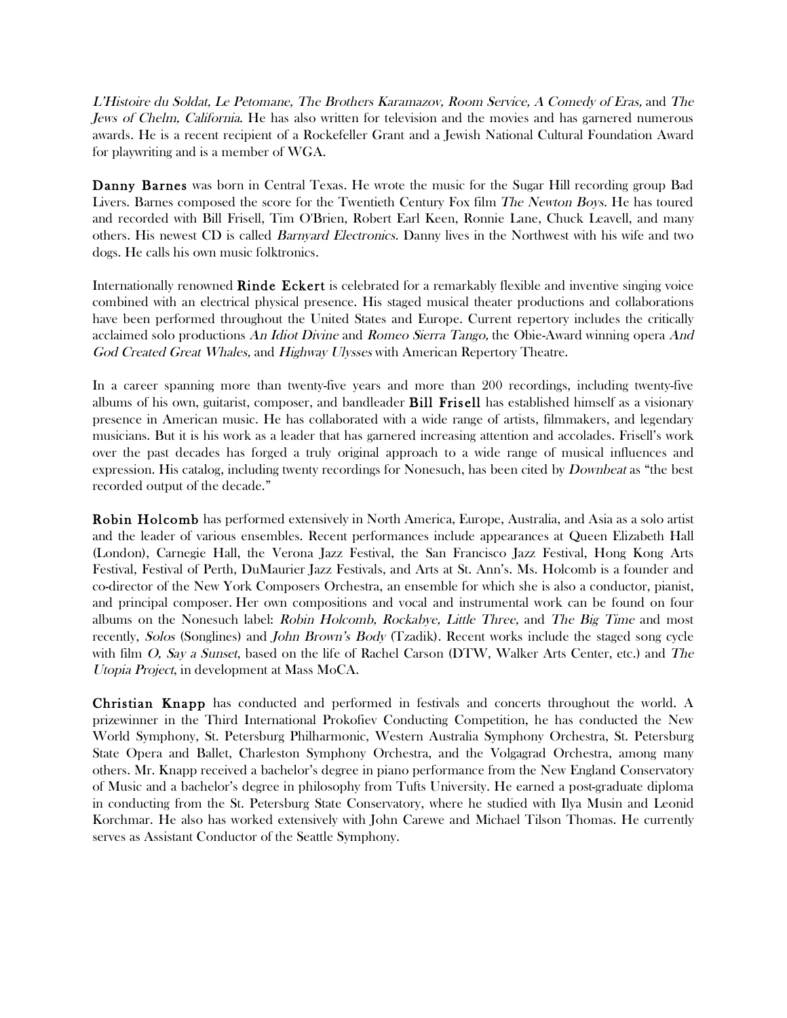L'Histoire du Soldat, Le Petomane, The Brothers Karamazov, Room Service, A Comedy of Eras, and The Jews of Chelm, California. He has also written for television and the movies and has garnered numerous awards. He is a recent recipient of a Rockefeller Grant and a Jewish National Cultural Foundation Award for playwriting and is a member of WGA.

Danny Barnes was born in Central Texas. He wrote the music for the Sugar Hill recording group Bad Livers. Barnes composed the score for the Twentieth Century Fox film *The Newton Boys*. He has toured and recorded with Bill Frisell, Tim O'Brien, Robert Earl Keen, Ronnie Lane, Chuck Leavell, and many others. His newest CD is called Barnyard Electronics. Danny lives in the Northwest with his wife and two dogs. He calls his own music folktronics.

Internationally renowned Rinde Eckert is celebrated for a remarkably flexible and inventive singing voice combined with an electrical physical presence. His staged musical theater productions and collaborations have been performed throughout the United States and Europe. Current repertory includes the critically acclaimed solo productions An Idiot Divine and Romeo Sierra Tango, the Obie-Award winning opera And God Created Great Whales, and Highway Ulysses with American Repertory Theatre.

In a career spanning more than twenty-five years and more than 200 recordings, including twenty-five albums of his own, guitarist, composer, and bandleader Bill Frisell has established himself as a visionary presence in American music. He has collaborated with a wide range of artists, filmmakers, and legendary musicians. But it is his work as a leader that has garnered increasing attention and accolades. Frisell's work over the past decades has forged a truly original approach to a wide range of musical influences and expression. His catalog, including twenty recordings for Nonesuch, has been cited by *Downbeat* as "the best" recorded output of the decade."

Robin Holcomb has performed extensively in North America, Europe, Australia, and Asia as a solo artist and the leader of various ensembles. Recent performances include appearances at Queen Elizabeth Hall (London), Carnegie Hall, the Verona Jazz Festival, the San Francisco Jazz Festival, Hong Kong Arts Festival, Festival of Perth, DuMaurier Jazz Festivals, and Arts at St. Ann's. Ms. Holcomb is a founder and co-director of the New York Composers Orchestra, an ensemble for which she is also a conductor, pianist, and principal composer. Her own compositions and vocal and instrumental work can be found on four albums on the Nonesuch label: *Robin Holcomb, Rockabye, Little Three,* and *The Big Time* and most recently, Solos (Songlines) and John Brown's Body (Tzadik). Recent works include the staged song cycle with film O, Say a Sunset, based on the life of Rachel Carson (DTW, Walker Arts Center, etc.) and The Utopia Project, in development at Mass MoCA.

Christian Knapp has conducted and performed in festivals and concerts throughout the world. A prizewinner in the Third International Prokofiev Conducting Competition, he has conducted the New World Symphony, St. Petersburg Philharmonic, Western Australia Symphony Orchestra, St. Petersburg State Opera and Ballet, Charleston Symphony Orchestra, and the Volgagrad Orchestra, among many others. Mr. Knapp received a bachelor's degree in piano performance from the New England Conservatory of Music and a bachelor's degree in philosophy from Tufts University. He earned a post-graduate diploma in conducting from the St. Petersburg State Conservatory, where he studied with Ilya Musin and Leonid Korchmar. He also has worked extensively with John Carewe and Michael Tilson Thomas. He currently serves as Assistant Conductor of the Seattle Symphony.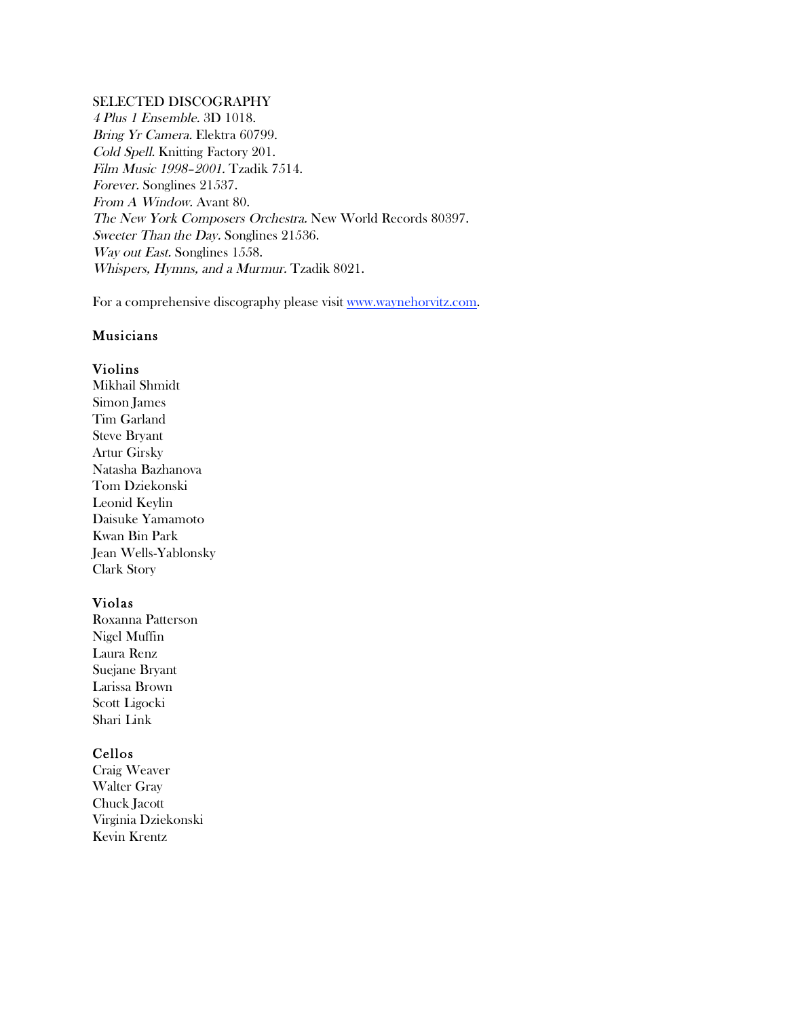## SELECTED DISCOGRAPHY

4 Plus 1 Ensemble. 3D 1018. Bring Yr Camera. Elektra 60799. Cold Spell. Knitting Factory 201. Film Music 1998–2001. Tzadik 7514. Forever. Songlines 21537. From A Window. Avant 80. The New York Composers Orchestra. New World Records 80397. Sweeter Than the Day. Songlines 21536. Way out East. Songlines 1558. Whispers, Hymns, and a Murmur. Tzadik 8021.

For a comprehensive discography please visit www.waynehorvitz.com.

#### Musicians

#### Violins

Mikhail Shmidt Simon James Tim Garland Steve Bryant Artur Girsky Natasha Bazhanova Tom Dziekonski Leonid Keylin Daisuke Yamamoto Kwan Bin Park Jean Wells-Yablonsky Clark Story

## Violas

Roxanna Patterson Nigel Muffin Laura Renz Suejane Bryant Larissa Brown Scott Ligocki Shari Link

#### Cellos

Craig Weaver Walter Gray Chuck Jacott Virginia Dziekonski Kevin Krentz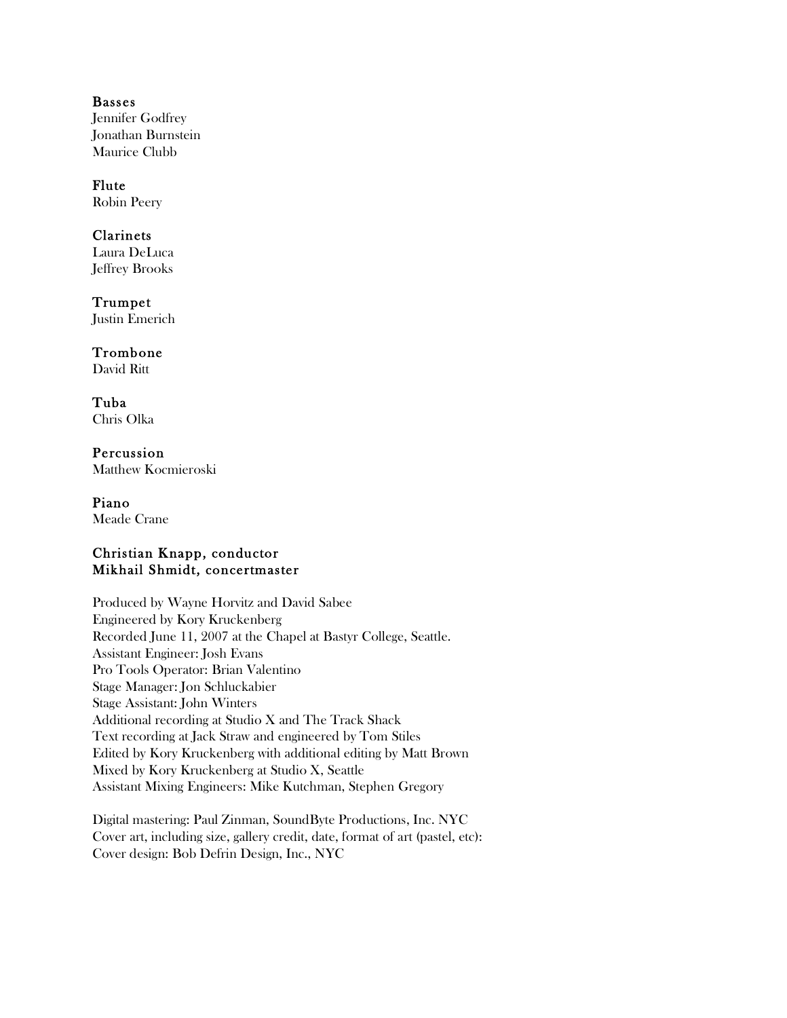## Basses Jennifer Godfrey Jonathan Burnstein Maurice Clubb

#### Flute Robin Peery

## Clarinets

Laura DeLuca Jeffrey Brooks

Trumpet Justin Emerich

# Trombone

David Ritt

Tuba Chris Olka

Percussion Matthew Kocmieroski

Piano Meade Crane

## Christian Knapp, conductor Mikhail Shmidt, concertmaster

Produced by Wayne Horvitz and David Sabee Engineered by Kory Kruckenberg Recorded June 11, 2007 at the Chapel at Bastyr College, Seattle. Assistant Engineer: Josh Evans Pro Tools Operator: Brian Valentino Stage Manager: Jon Schluckabier Stage Assistant: John Winters Additional recording at Studio X and The Track Shack Text recording at Jack Straw and engineered by Tom Stiles Edited by Kory Kruckenberg with additional editing by Matt Brown Mixed by Kory Kruckenberg at Studio X, Seattle Assistant Mixing Engineers: Mike Kutchman, Stephen Gregory

Digital mastering: Paul Zinman, SoundByte Productions, Inc. NYC Cover art, including size, gallery credit, date, format of art (pastel, etc): Cover design: Bob Defrin Design, Inc., NYC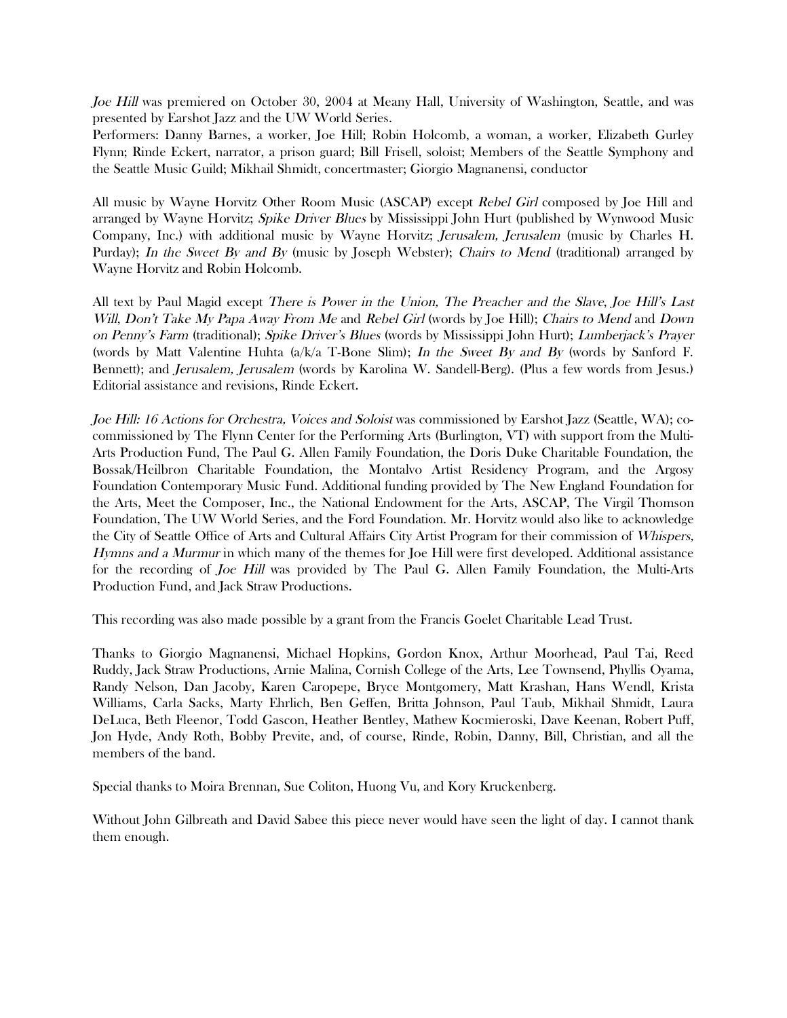Joe Hill was premiered on October 30, 2004 at Meany Hall, University of Washington, Seattle, and was presented by Earshot Jazz and the UW World Series.

Performers: Danny Barnes, a worker, Joe Hill; Robin Holcomb, a woman, a worker, Elizabeth Gurley Flynn; Rinde Eckert, narrator, a prison guard; Bill Frisell, soloist; Members of the Seattle Symphony and the Seattle Music Guild; Mikhail Shmidt, concertmaster; Giorgio Magnanensi, conductor

All music by Wayne Horvitz Other Room Music (ASCAP) except Rebel Girl composed by Joe Hill and arranged by Wayne Horvitz; Spike Driver Blues by Mississippi John Hurt (published by Wynwood Music Company, Inc.) with additional music by Wayne Horvitz; Jerusalem, Jerusalem (music by Charles H. Purday); In the Sweet By and By (music by Joseph Webster); Chairs to Mend (traditional) arranged by Wayne Horvitz and Robin Holcomb.

All text by Paul Magid except There is Power in the Union, The Preacher and the Slave, Joe Hill's Last Will, Don't Take My Papa Away From Me and Rebel Girl (words by Joe Hill); Chairs to Mend and Down on Penny's Farm (traditional); Spike Driver's Blues (words by Mississippi John Hurt); Lumberjack's Prayer (words by Matt Valentine Huhta  $(a/k/a$  T-Bone Slim); In the Sweet By and By (words by Sanford F. Bennett); and Jerusalem, Jerusalem (words by Karolina W. Sandell-Berg). (Plus a few words from Jesus.) Editorial assistance and revisions, Rinde Eckert.

Joe Hill: 16 Actions for Orchestra, Voices and Soloist was commissioned by Earshot Jazz (Seattle, WA); cocommissioned by The Flynn Center for the Performing Arts (Burlington, VT) with support from the Multi-Arts Production Fund, The Paul G. Allen Family Foundation, the Doris Duke Charitable Foundation, the Bossak/Heilbron Charitable Foundation, the Montalvo Artist Residency Program, and the Argosy Foundation Contemporary Music Fund. Additional funding provided by The New England Foundation for the Arts, Meet the Composer, Inc., the National Endowment for the Arts, ASCAP, The Virgil Thomson Foundation, The UW World Series, and the Ford Foundation. Mr. Horvitz would also like to acknowledge the City of Seattle Office of Arts and Cultural Affairs City Artist Program for their commission of Whispers, Hymns and a Murmur in which many of the themes for Joe Hill were first developed. Additional assistance for the recording of Joe Hill was provided by The Paul G. Allen Family Foundation, the Multi-Arts Production Fund, and Jack Straw Productions.

This recording was also made possible by a grant from the Francis Goelet Charitable Lead Trust.

Thanks to Giorgio Magnanensi, Michael Hopkins, Gordon Knox, Arthur Moorhead, Paul Tai, Reed Ruddy, Jack Straw Productions, Arnie Malina, Cornish College of the Arts, Lee Townsend, Phyllis Oyama, Randy Nelson, Dan Jacoby, Karen Caropepe, Bryce Montgomery, Matt Krashan, Hans Wendl, Krista Williams, Carla Sacks, Marty Ehrlich, Ben Geffen, Britta Johnson, Paul Taub, Mikhail Shmidt, Laura DeLuca, Beth Fleenor, Todd Gascon, Heather Bentley, Mathew Kocmieroski, Dave Keenan, Robert Puff, Jon Hyde, Andy Roth, Bobby Previte, and, of course, Rinde, Robin, Danny, Bill, Christian, and all the members of the band.

Special thanks to Moira Brennan, Sue Coliton, Huong Vu, and Kory Kruckenberg.

Without John Gilbreath and David Sabee this piece never would have seen the light of day. I cannot thank them enough.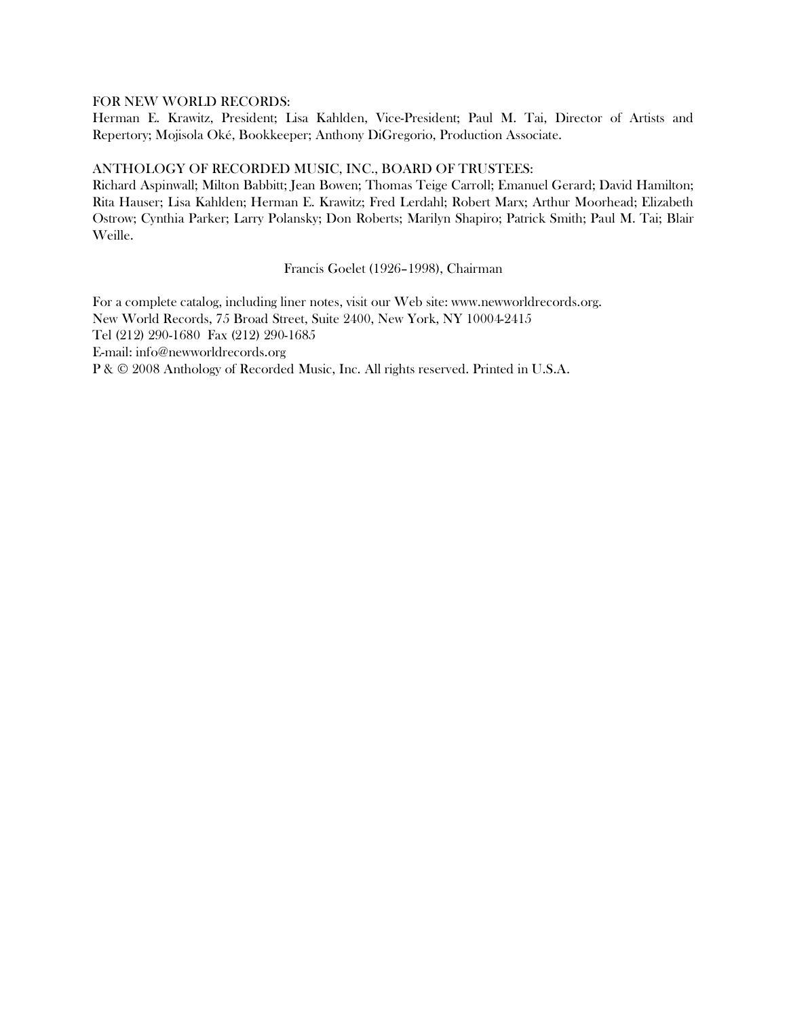#### FOR NEW WORLD RECORDS:

Herman E. Krawitz, President; Lisa Kahlden, Vice-President; Paul M. Tai, Director of Artists and Repertory; Mojisola Oké, Bookkeeper; Anthony DiGregorio, Production Associate.

#### ANTHOLOGY OF RECORDED MUSIC, INC., BOARD OF TRUSTEES:

Richard Aspinwall; Milton Babbitt; Jean Bowen; Thomas Teige Carroll; Emanuel Gerard; David Hamilton; Rita Hauser; Lisa Kahlden; Herman E. Krawitz; Fred Lerdahl; Robert Marx; Arthur Moorhead; Elizabeth Ostrow; Cynthia Parker; Larry Polansky; Don Roberts; Marilyn Shapiro; Patrick Smith; Paul M. Tai; Blair Weille.

Francis Goelet (1926–1998), Chairman

For a complete catalog, including liner notes, visit our Web site: www.newworldrecords.org. New World Records, 75 Broad Street, Suite 2400, New York, NY 10004-2415 Tel (212) 290-1680 Fax (212) 290-1685 E-mail: info@newworldrecords.org P & © 2008 Anthology of Recorded Music, Inc. All rights reserved. Printed in U.S.A.